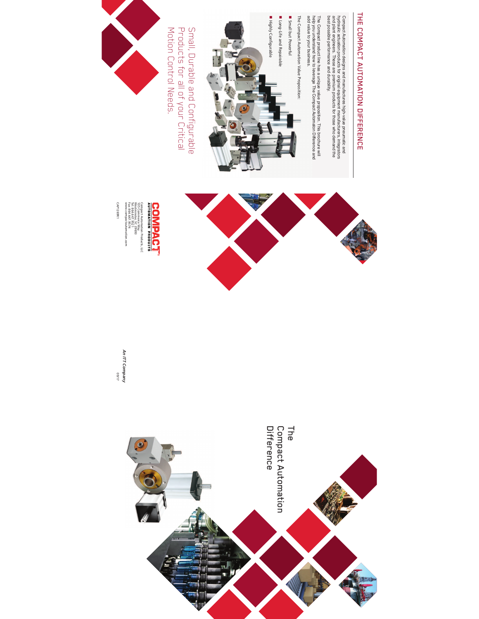

Compact Automation designs and manufactures high-value pneumatic and hydraulic actuation products for original equipment manufacturers, integrators and plant engineers. These are premium products for those who demand the best possible performance and durability.

The Compact product line has a unique value proposition. This brochure  $\leq$ help you understand how to leverage The Compact Automaton Difference and add value to your business.

The Compact Automation Value Proposition:

! Small but Powerful

**■** Long-Life and Repairable



Small, Durable an<br>D Configurable Products for  $\overset{\textstyle\rm o}{=}$ o<br>T your Critical Motion Control Needs.







Compact 105 Westminster, Tel: Fax: 864.647.9521 864.647.9574 www.compactautomation.com

CAP1269R1

CAP1269R1

09/17 **An Π** 



**Company**